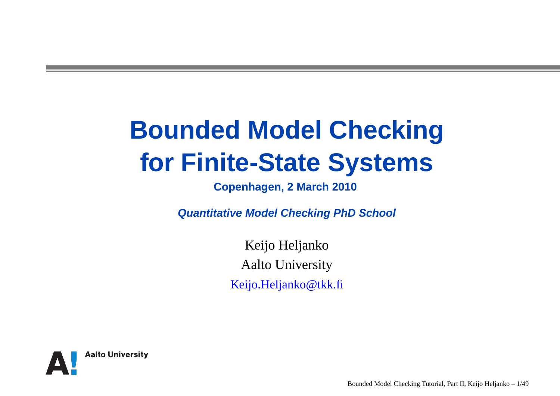## **Bounded Model Checkingfor Finite-State Systems**

**Copenhagen, <sup>2</sup> March 2010**

**Quantitative Model Checking PhD School**

Keijo HeljankoAalto UniversityKeijo.Heljanko@tkk.fi

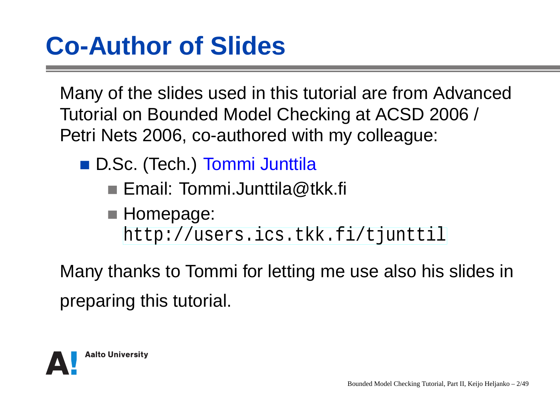#### **Co-Author of Slides**

Many of the slides used in this tutorial are from AdvancedTutorial on Bounded Model Checking at ACSD 2006 / Petri Nets 2006, co-authored with my colleague:

- D.Sc. (Tech.) Tommi Junttila
	- Email: Tommi.Junttila@tkk.fi
	- **Homepage:** [http://users](http://users.ics.tkk.fi/tjunttil).[ics](http://users.ics.tkk.fi/tjunttil).[tkk](http://users.ics.tkk.fi/tjunttil).[fi/tjuntt](http://users.ics.tkk.fi/tjunttil)il

Many thanks to Tommi for letting me use also his slides inpreparing this tutorial.

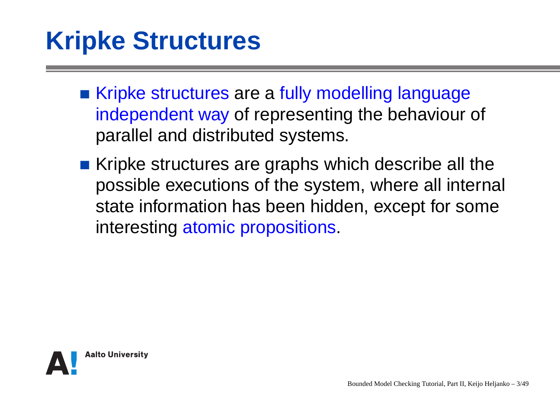### **Kripke Structures**

- Kripke structures are <sup>a</sup> fully modelling language independent way of representing the behaviour of parallel and distributed systems.
- Kripke structures are graphs which describe all the possible executions of the system, where all internal state information has been hidden, except for someinteresting atomic propositions.

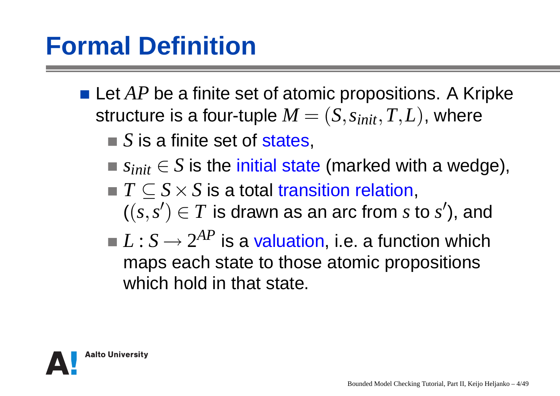#### **Formal Definition**

- Let *AP* be a finite set of atomic propositions. A Kripke structure is a four-tuple  $M = (S, s_{init}, T, L)$ , where
	- *S* is <sup>a</sup> finite set of states,
	- *sinit*∈*S* is the initial state (marked with <sup>a</sup> wedge),
	- *T*⊆*S*×*S* is <sup>a</sup> total transition relation,  $\iota\iota$ ((*s*,*s*′ $) \in T$  is drawn as an arc from  $s$  to  $s'$ ), and
	- $L: S \rightarrow 2^{AP}$  is a valuation, i.e. a function which maps each state to those atomic propositionswhich hold in that state.

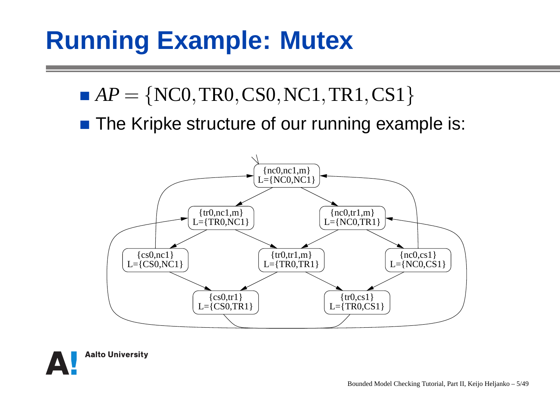### **Running Example: Mutex**

- $AP=$  $\{ {\rm NCO, TR0, CS0, NC1, TR1, CS1} \}$
- The Kripke structure of our running example is:



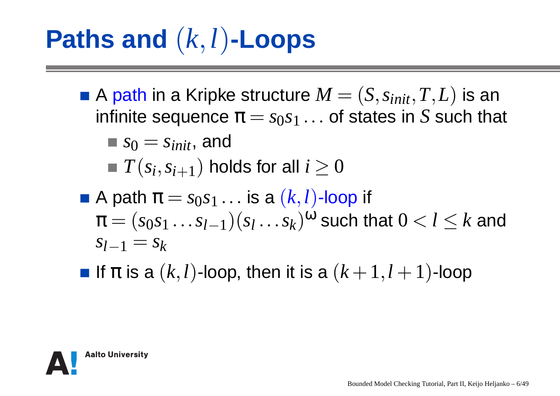# **Paths and** (*<sup>k</sup>*,*<sup>l</sup>*)**-Loops**

- A path in a Kripke structure  $M = (S, s_{init}, T, L)$  is an<br>infinite sequence  $\pi = s_0 s_1$  and states in S such the infinite sequence  $\boldsymbol{\pi}=s_0s_1\ldots$  of states in  $S$  such that  $s_0 = s_{init}$ , and  $T(s_i, s_{i+1})$  holds for all  $i \geq 0$
- A path  $\pi = s_0 s_1 \dots$  is a  $(k, l)$ -loop if  $\pi = (s_0s_1\ldots s_{l-1})(s_l\ldots s_k)^{\omega}$  such that  $0 < l \leq k$  and  $s_{l-1} = s_k$
- If  $\pi$  is a  $(k,l)$ -loop, then it is a  $(k+1,l+1)$ -loop

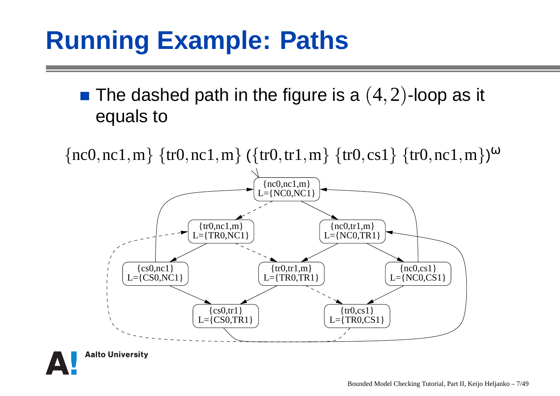### **Running Example: Paths**

#### The dashed path in the figure is a  $(4,2)$ -loop as it equals to

 $\{nc0, nc1, m\}$   $\{tr0, nc1, m\}$   $(\{tr0, tr1, m\}$   $\{tr0, cs1\}$   $\{tr0, nc1, m\})^{\omega}$ 



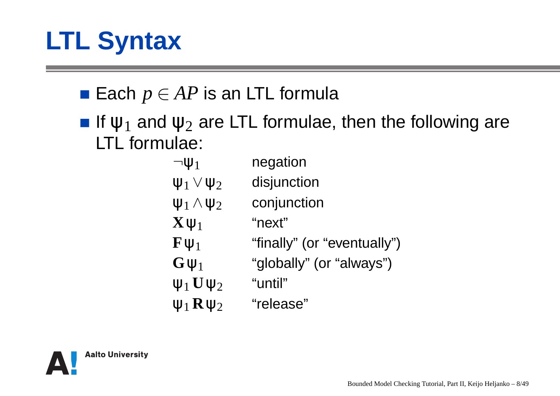### **LTL Syntax**

- $\pmb{\mathsf{Each}}\ p \in \pmb{AP}$  is an LTL formula
- If  $\psi_1$  and  $\psi_2$  are LTL formulae, then the following are LTL formulae:

| $\neg \Psi_1$               | negation                    |
|-----------------------------|-----------------------------|
| $\Psi_1 \vee \Psi_2$        | disjunction                 |
| $\Psi_1 \wedge \Psi_2$      | conjunction                 |
| $\mathbf{X}\psi_1$          | "next"                      |
| $\mathbf{F}\mathbf{\Psi}_1$ | "finally" (or "eventually") |
| $\mathbf{G}\psi_1$          | "globally" (or "always")    |
| $\Psi_1$ $\mathbf{U}\Psi_2$ | "until"                     |
| $\Psi_1$ $\mathbf{R}\Psi_2$ | "release"                   |
|                             |                             |

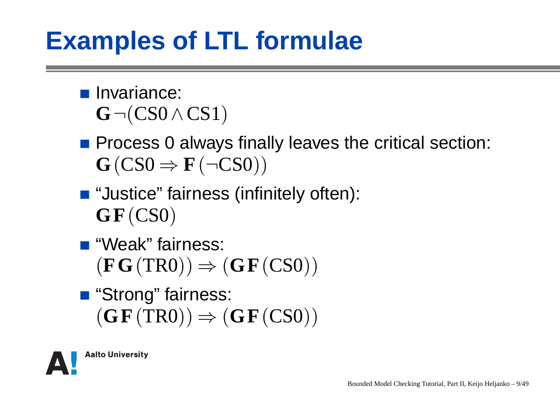#### **Examples of LTL formulae**

- **Invariance:**  $\mathbf{G}$   $\neg$  $(\mathbf{CS0}\wedge\mathbf{CS1})$
- Process 0 always finally leaves the critical section:  $\mathbf{G}\left(\text{CSO}\Rightarrow\mathbf{F}\left(\neg \text{CSO}\right)\right)$
- "Justice" fairness (infinitely often): **GF**(CS0)
- "Weak" fairness:  $(\mathbf{FG}\left(\mathrm{TR0}\right))\Rightarrow(\mathbf{GF}\left(\mathrm{CS0}\right))$
- "Strong" fairness:  $(\mathbf{G}\mathbf{F}(\text{TR0})) \Rightarrow (\mathbf{G}\mathbf{F}(\text{CS0}))$

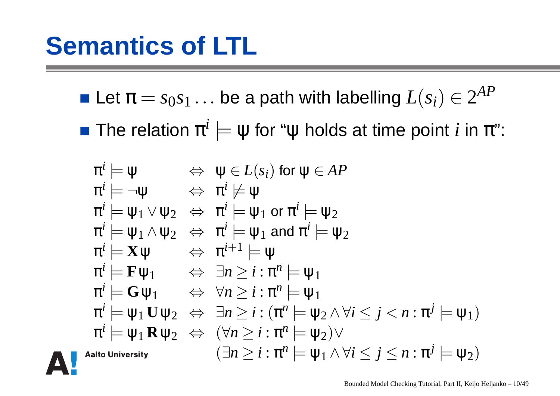Let  $\pi=s_0s_1$  $1 \ldots$  be a path with labelling  $L(s_i) \in 2^{AP}$ 

The relation  $\pi$ *i*  $\models \psi$  for " $\psi$  holds at time point  $i$  in  $\pi$ ":

$$
\pi^{i} \models \psi \iff \psi \in L(s_{i}) \text{ for } \psi \in AP
$$
\n
$$
\pi^{i} \models \neg \psi \iff \pi^{i} \not\models \psi
$$
\n
$$
\pi^{i} \models \psi_{1} \lor \psi_{2} \iff \pi^{i} \models \psi_{1} \text{ or } \pi^{i} \models \psi_{2}
$$
\n
$$
\pi^{i} \models \psi_{1} \land \psi_{2} \iff \pi^{i} \models \psi_{1} \text{ and } \pi^{i} \models \psi_{2}
$$
\n
$$
\pi^{i} \models \mathbf{X}\psi \iff \pi^{i+1} \models \psi
$$
\n
$$
\pi^{i} \models \mathbf{F}\psi_{1} \iff \exists n \geq i : \pi^{n} \models \psi_{1}
$$
\n
$$
\pi^{i} \models \mathbf{G}\psi_{1} \iff \forall n \geq i : \pi^{n} \models \psi_{1}
$$
\n
$$
\pi^{i} \models \psi_{1} \mathbf{U}\psi_{2} \iff \exists n \geq i : (\pi^{n} \models \psi_{2} \land \forall i \leq j < n : \pi^{j} \models \psi_{1})
$$
\n
$$
\pi^{i} \models \psi_{1} \mathbf{R}\psi_{2} \iff (\forall n \geq i : \pi^{n} \models \psi_{2}) \lor (\exists n \geq i : \pi^{n} \models \psi_{1} \land \forall i \leq j \leq n : \pi^{j} \models \psi_{2})
$$
\n
$$
\text{alto University}
$$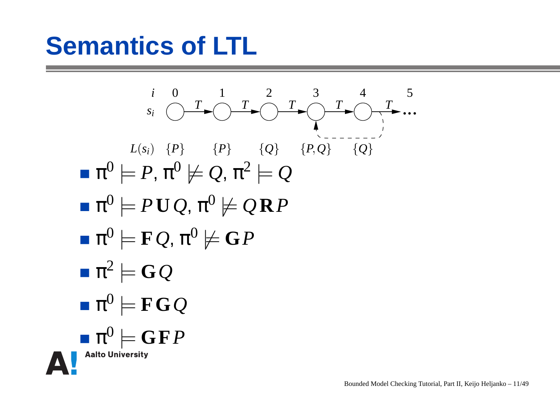#### **Semantics of LTL**

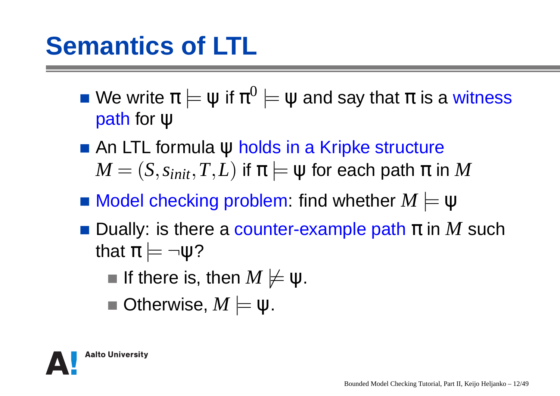### **Semantics of LTL**

- We write  $\pi \models \psi$  if  $\pi$  path for ψ0 $\mathbf{u}^0 \models \psi$  and say that  $\pi$  is a witness
- An LTL formula ψ holds in a Kripke structure<br>Δ4  $M = (S, s_{init}, T, L)$  if  $\pi \models \psi$  for each path  $\pi$  in  $M$
- Model checking problem: find whether*M* <sup>|</sup><sup>=</sup> ψ
- Dually: is there a counter-example path π in *M* such<br>that π  $\vdash$  ¬ນເ2 that  $\pi \models$  $\neg \psi$ ?
	- If there is, then  $M\not\models\psi.$
	- Otherwise,  $M \models \psi$ .

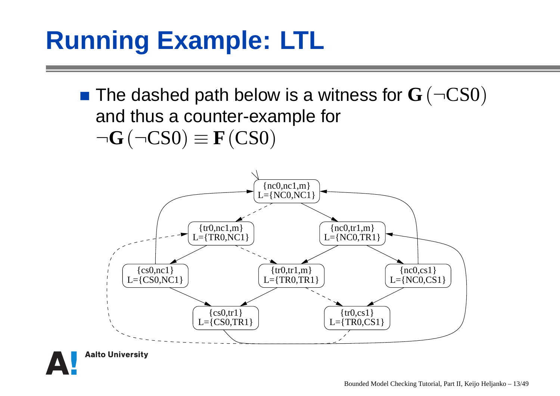### **Running Example: LTL**

The dashed path below is <sup>a</sup> witness for**G**(¬CS0)and thus <sup>a</sup> counter-example for¬**G**(¬CS0) $\equiv$   ${\bf F}(\text{CS0})$ 



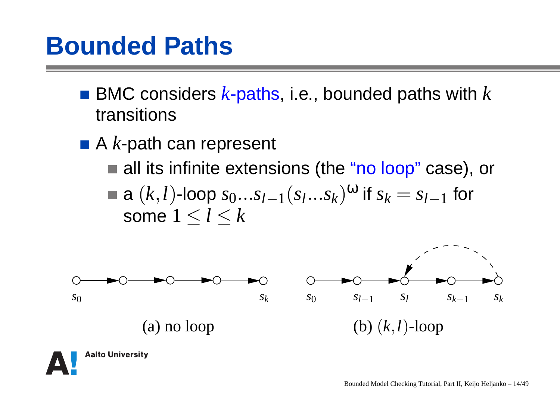- BMC considers  $k$ -paths, i.e., bounded paths with  $k$ transitions
- A*k*-path can represent
	- all its infinite extensions (the "<mark>no loop</mark>" case), or a  $(k,l)$ -loop  $s_0...s_{l-1}(s_l...s_k)^\mathbf{\omega}$  if  $s_k=s_{l-1}$  some1≤*l*≤*k* $1$  for



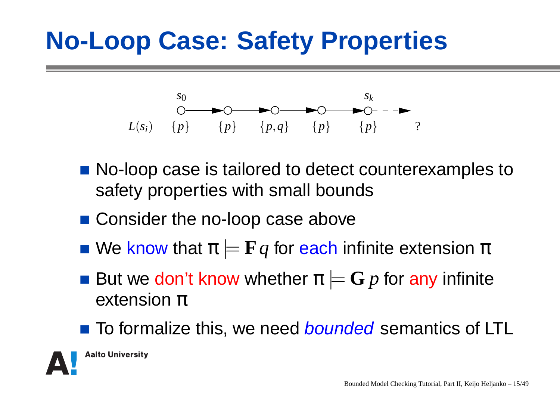#### **No-Loop Case: Safety Properties**



- No-loop case is tailored to detect counterexamples to safety properties with small bounds
- Consider the no-loop case above
- We know that  $\bm{\pi} \models \mathbf{F} q$  for each infinite extension  $\bm{\pi}$
- But we don't know whether  $\bm{\pi} \models \mathbf{G}\, p$  for any infinite extension  $\pi$
- To formalize this, we need *bounded* semantics of LTL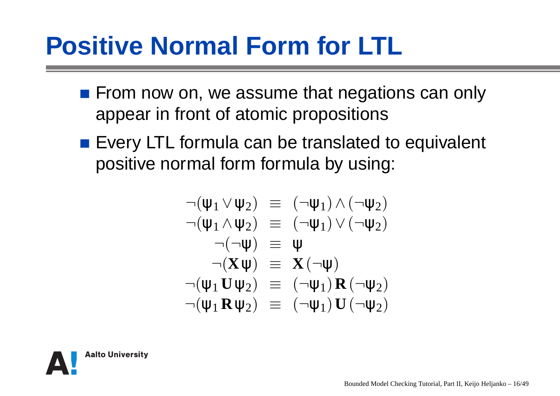### **Positive Normal Form for LTL**

- **Fig. 5 From now on, we assume that negations can only** appear in front of atomic propositions
- **Exery LTL formula can be translated to equivalent** positive normal form formula by using:

$$
\neg(\psi_1 \lor \psi_2) \equiv (\neg \psi_1) \land (\neg \psi_2)
$$
\n
$$
\neg(\psi_1 \land \psi_2) \equiv (\neg \psi_1) \lor (\neg \psi_2)
$$
\n
$$
\neg(\neg \psi) \equiv \psi
$$
\n
$$
\neg(\mathbf{X}\psi) \equiv \mathbf{X}(\neg \psi)
$$
\n
$$
\neg(\psi_1 \mathbf{U} \psi_2) \equiv (\neg \psi_1) \mathbf{R} (\neg \psi_2)
$$
\n
$$
\neg(\psi_1 \mathbf{R} \psi_2) \equiv (\neg \psi_1) \mathbf{U} (\neg \psi_2)
$$

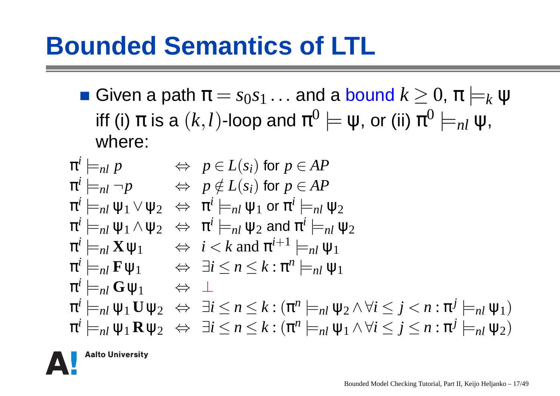#### **Bounded Semantics of LTL**

Given a path  $\pi=s_0s_1$  $(1 \quad 1)$  $\Omega$  . The contract of  $\Omega$  is the contract of  $\Omega$  $\displaystyle\lim_{n \to \infty} 1 \ldots$  and a bound  $k \geq 0, \, \pi \models 0$ iff (i)  $\pi$  is a  $(k,l)$ -loop and  $\pi^0 \models \psi$ , or (ii)  $\pi^0 \models_{nl} \psi$ *k*ψ0 $\overline{^0}=\overline{\mathsf{\psi}}$ , or (ii)  $\pi$ 0 $^{0}\models_{nl}\Psi,$ where:

$$
\pi^{i} \models_{nl} p \Leftrightarrow p \in L(s_{i}) \text{ for } p \in AP
$$
\n
$$
\pi^{i} \models_{nl} \neg p \Leftrightarrow p \notin L(s_{i}) \text{ for } p \in AP
$$
\n
$$
\pi^{i} \models_{nl} \psi_{1} \lor \psi_{2} \Leftrightarrow \pi^{i} \models_{nl} \psi_{1} \text{ or } \pi^{i} \models_{nl} \psi_{2}
$$
\n
$$
\pi^{i} \models_{nl} \psi_{1} \land \psi_{2} \Leftrightarrow \pi^{i} \models_{nl} \psi_{2} \text{ and } \pi^{i} \models_{nl} \psi_{2}
$$
\n
$$
\pi^{i} \models_{nl} \mathbf{X} \psi_{1} \Leftrightarrow i < k \text{ and } \pi^{i+1} \models_{nl} \psi_{1}
$$
\n
$$
\pi^{i} \models_{nl} \mathbf{F} \psi_{1} \Leftrightarrow \exists i \le n \le k : \pi^{n} \models_{nl} \psi_{1}
$$
\n
$$
\pi^{i} \models_{nl} \mathbf{G} \psi_{1} \Leftrightarrow \bot
$$
\n
$$
\pi^{i} \models_{nl} \psi_{1} \mathbf{U} \psi_{2} \Leftrightarrow \exists i \le n \le k : (\pi^{n} \models_{nl} \psi_{2} \land \forall i \le j < n : \pi^{j} \models_{nl} \psi_{1})
$$
\n
$$
\pi^{i} \models_{nl} \psi_{1} \mathbf{R} \psi_{2} \Leftrightarrow \exists i \le n \le k : (\pi^{n} \models_{nl} \psi_{1} \land \forall i \le j \le n : \pi^{j} \models_{nl} \psi_{2})
$$

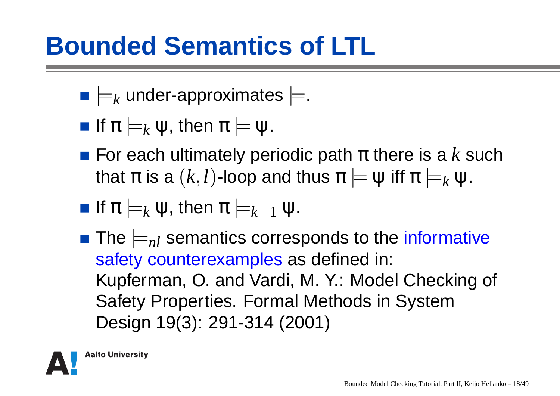#### **Bounded Semantics of LTL**

- $\models_k$  $_k$  under-approximates  $\models$ .
- If  $\pi \models$  $_{k}$   $\psi$ , then  $\pi$   $\models$   $\psi.$
- For each ultimately periodic path  $\pi$  there is a  $k$  such that  $\pi$  is a  $(k,l)$ -loop and thus  $\pi \models \psi$  iff  $\pi \models$ *k*ψ.
- If  $\pi \models$  $_{k}$   $\psi$ , then  $\pi$   $\models$ *k*+1ψ.
- The  $\models$ <sub>nl</sub> semantics corresponds to the informative safety counterexamples as defined in: Kupferman, O. and Vardi, M. Y.: Model Checking of Safety Properties. Formal Methods in SystemDesign 19(3): 291-314 (2001)

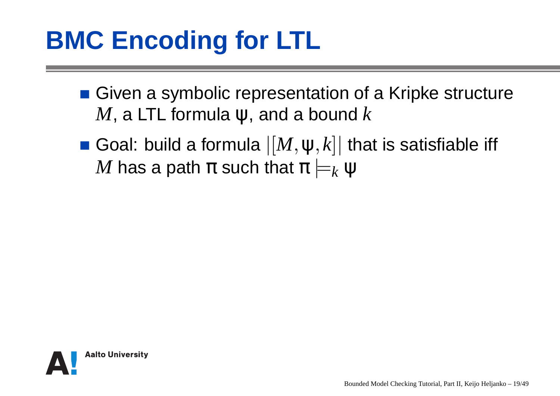### **BMC Encoding for LTL**

- Given a symbolic representation of a Kripke structure  $M$ , a LTL formula  $\psi$ , and a bound  $k$
- Goal: build a formula  $|[M,\psi,k]|$  that is satisfiable iff  $M$  has a path  $\pi$  such that  $\pi \models$ *k*ψ

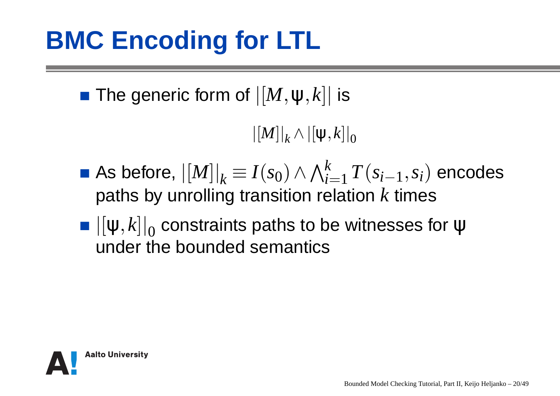The generic form of  $|[M,\psi,k]|$  is

 $\left| \left[ M \right] \right| _{k}$  $\vert_k \wedge \vert [\Psi, k] \vert$ 0

- As before,  $\left| [M] \right|_k \equiv I(s_0) \wedge \bigwedge_{i=1}^k$  $\sim$   $\sim$ **Contract Contract**  $\mathbf{r}$  and  $\mathbf{r}$  *i*=1dation *T*(*si*−1,*si*) encodespaths by unrolling transition relation  $k$  times
- $\left\vert\left[\mathsf{\Psi},k\right]\right\vert_{0}$  $_{0}$  constraints paths to be witnesses for ψ under the bounded semantics

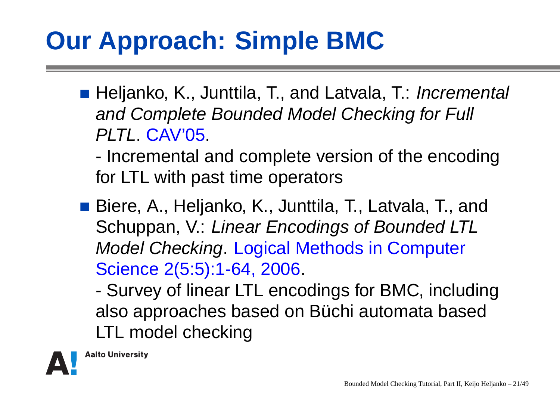### **Our Approach: Simple BMC**

- Heljanko, K., Junttila, T., and Latvala, T.: *Incremental* and Complete Bounded Model Checking for Full PLTL. CAV'05.
	- - Incremental and complete version of the encodingfor LTL with past time operators
- Biere, A., Heljanko, K., Junttila, T., Latvala, T., and Schuppan, V.: Linear Encodings of Bounded LTLModel Checking. Logical Methods in ComputerScience 2(5:5):1-64, 2006.

- Survey of linear LTL encodings for BMC, includingalso approaches based on Büchi automata basedLTL model checking

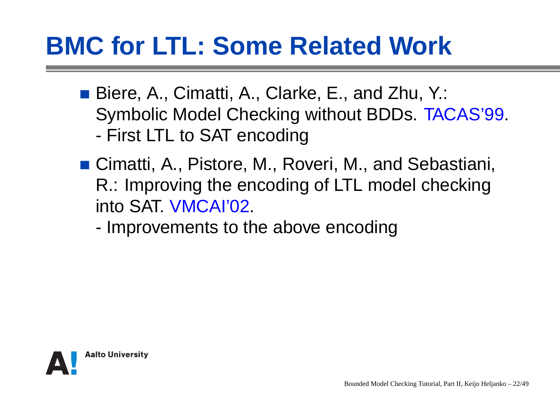### **BMC for LTL: Some Related Work**

- Biere, A., Cimatti, A., Clarke, E., and Zhu, Y.: Symbolic Model Checking without BDDs. TACAS'99.-First LTL to SAT encoding
- Cimatti, A., Pistore, M., Roveri, M., and Sebastiani, R.: Improving the encoding of LTL model checkinginto SAT. VMCAI'02.
	- -Improvements to the above encoding

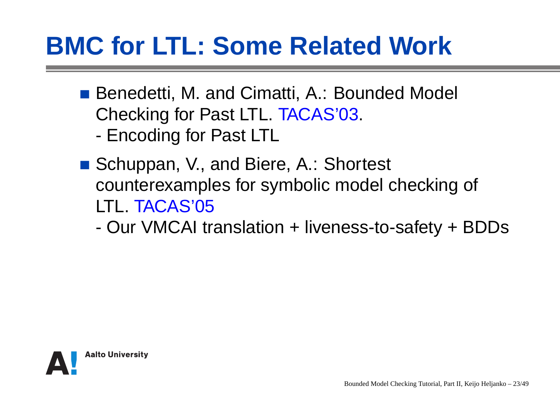### **BMC for LTL: Some Related Work**

- Benedetti, M. and Cimatti, A.: Bounded Model Checking for Past LTL. TACAS'03.-Encoding for Past LTL
- Schuppan, V., and Biere, A.: Shortest counterexamples for symbolic model checking of LTL. TACAS'05
	- -Our VMCAI translation + liveness-to-safety + BDDs

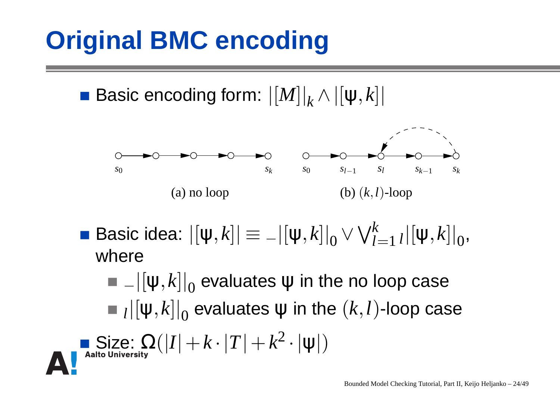### **Original BMC encoding**

Size:<br>"s!lniver

Basic encoding form: |[*M*]|*k* $\chi\wedge\left\vert \left[ \psi,k\right] \right\vert$ 

 $\Omega_{\textrm{\tiny{IV}}}( |I|+k\cdot|T|+k)$ 



 $\textsf{Basic idea: } |[ψ,k]| ≡ - |[ψ,k]|_0$  $\vee \bigvee^k_{I_2}$  $\frac{\kappa}{l=1}$   $_{l}$   $\left\vert \left[ \mathsf{\Psi},k\right] \right\vert _{0},$ where

 $-\left\vert \left[ \mathrm{\psi },k\right] \right\vert _{0}$  $_0$  evaluates  $\psi$  in the no loop case  $_{l}$ | $\left[ \mathsf{\Psi},k\right]$ | $_{0}$  $_0$  evaluates  $\psi$  in the  $(k,l)$ -loop case

2

 $^{2}\cdot|\mathsf{\Psi}|)$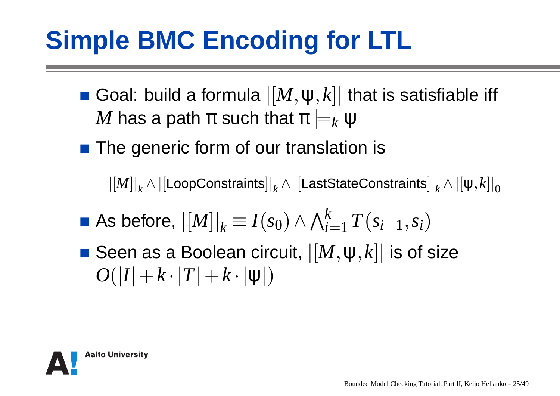### **Simple BMC Encoding for LTL**

Goal: build a formula  $|[M,\psi,k]|$  that is satisfiable iff  $M$  has a path  $\pi$  such that  $\pi \models$ *k*ψ

■ The generic form of our translation is

 $\left\vert \left[ M\right] \right\vert _{k}\wedge\left\vert \left[{\sf LoopConstraints}\right] \right\vert _{k}\wedge\left\vert \left[{\sf LastStateConstraints}\right] \right\vert _{k}\wedge\left\vert \left[{\psi,k}\right] \right\vert _{0}$ 

- As before,  $\left| [M] \right|_k \equiv I(s_0) \wedge \bigwedge_{i=1}^k$  *i*=1*T*(*si*−1,*si*)
- Seen as a Boolean circuit,  $|[M,\psi,k]|$  is of size  $O(|I|+k\cdot |T|+k\cdot |\mathsf{\Psi}|)$

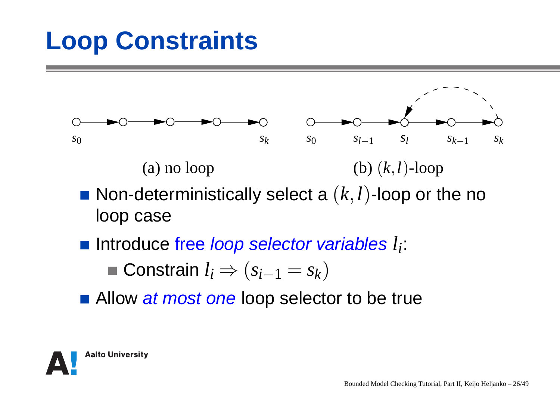### **Loop Constraints**



- Non-deterministically select <sup>a</sup>(*k*,*l*)-loop or the noloop case
- Introduce free loop selector variables *li*:

■ **Constrain** 
$$
l_i \Rightarrow (s_{i-1} = s_k)
$$

Allow *at most one* loop selector to be true

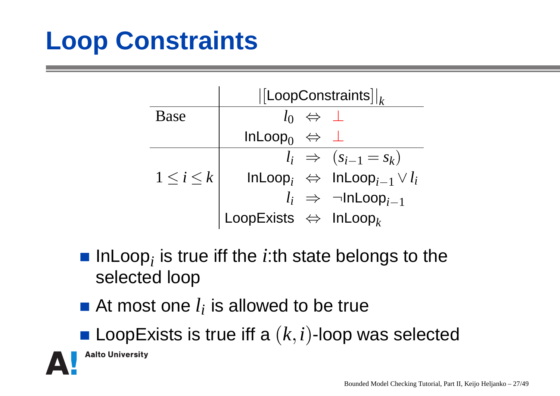### **Loop Constraints**

|                 | $\vert$ [LoopConstraints $\vert\vert_k$          |                                                  |  |  |  |  |  |  |  |
|-----------------|--------------------------------------------------|--------------------------------------------------|--|--|--|--|--|--|--|
| <b>Base</b>     | $l_0 \Leftrightarrow \perp$                      |                                                  |  |  |  |  |  |  |  |
|                 | InLoop <sub>0</sub> $\Leftrightarrow \perp$      |                                                  |  |  |  |  |  |  |  |
|                 |                                                  | $l_i \Rightarrow (s_{i-1} = s_k)$                |  |  |  |  |  |  |  |
| $1\leq i\leq k$ |                                                  | $InLoop_i \Leftrightarrow InLoop_{i-1} \vee l_i$ |  |  |  |  |  |  |  |
|                 |                                                  | $l_i \Rightarrow \neg InLoop_{i-1}$              |  |  |  |  |  |  |  |
|                 | LoopExists $\Leftrightarrow$ InLoop <sub>k</sub> |                                                  |  |  |  |  |  |  |  |
|                 |                                                  |                                                  |  |  |  |  |  |  |  |

- InLoop*i* is true iff the*i*:th state belongs to theselected loop
- At most one*li* is allowed to be true
- LoopExists is true iff <sup>a</sup>(*k*,*i*)-loop was selected

**Aalto University**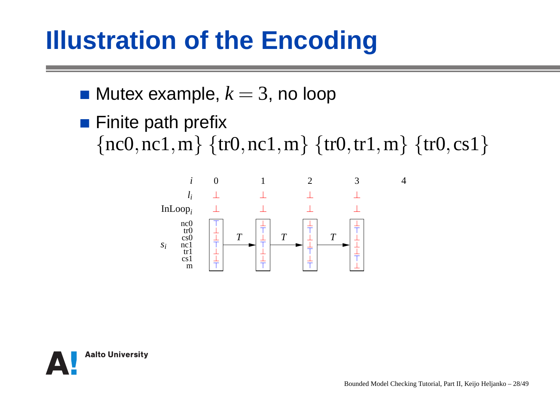### **Illustration of the Encoding**

- Mutex example, *k*=3, no loop
- **Finite path prefix**  $\{nc0, nc1, m\} \{tr0, nc1, m\} \{tr0, tr1, m\} \{tr0, cs1\}$



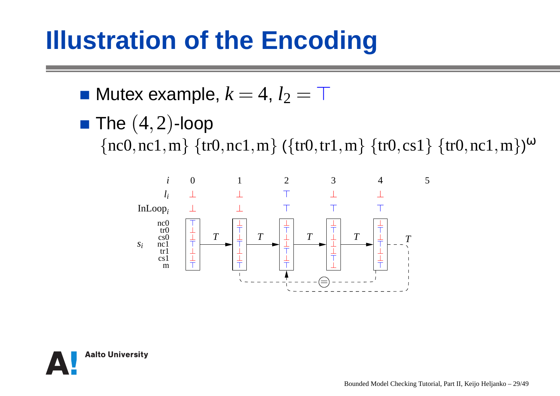#### **Illustration of the Encoding**

- Mutex example,  $k=4, \, l_2=\top$
- The  $(4,2)$ -loop

 $\{nc0, nc1, m\} \{tr0, nc1, m\} (\{tr0, tr1, m\} \{tr0, cs1\} \{tr0, nc1, m\})^{\omega}$ 



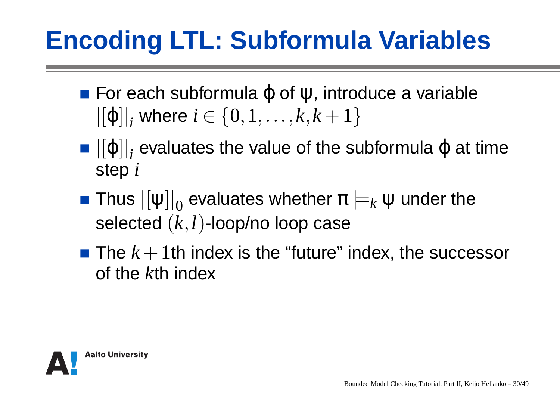### **Encoding LTL: Subformula Variables**

- For each subformulaϕ of ψ, introduce <sup>a</sup> variable $\left\vert\left[\varphi\right]\right\vert_{i}$  where  $i\in\left\{0,1,\ldots,k,k+1\right\}$
- $\left| \left[ \phi \right] \right| _{i}$  evaluates the value of the subformula  $\phi$  at time step*i*
- Thus  $\left|\left[\bm{\mathsf{\psi}}\right]\right|_0$  $\frac{1}{100}$  evaluates whether  $\pi$   $\models$  $_{k}$   $\bm{\mathsf{\Psi}}$  under the selected(*k*,*l*)-loop/no loop case
- The  $k+1$ th index is the "future" index, the successor . . . of the*k*th index

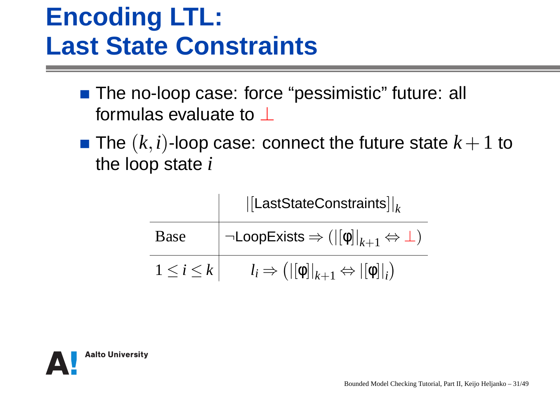#### **Encoding LTL:Last State Constraints**

- The no-loop case: force "pessimistic" future: all formulas evaluate to  $\bot$
- The  $(k,i)$ -loop case: connect the future state  $k+1$  to the loop state*i*

|                 | $\vert$ [LastStateConstraints] $\vert_k$                                    |  |  |  |  |  |  |
|-----------------|-----------------------------------------------------------------------------|--|--|--|--|--|--|
| Base            | $\neg\mathsf{LoopExists} \Rightarrow ( [\phi] _{k+1} \Leftrightarrow \bot)$ |  |  |  |  |  |  |
| $1\leq i\leq k$ | $l_i \Rightarrow ( [\phi] _{k+1} \Leftrightarrow  [\phi] _i)$               |  |  |  |  |  |  |

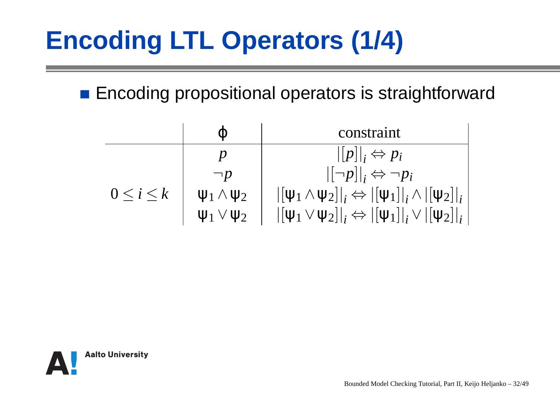## **Encoding LTL Operators (1/4)**

**Encoding propositional operators is straightforward** 

|                   | Ф                      | constraint                                                                                                                                  |
|-------------------|------------------------|---------------------------------------------------------------------------------------------------------------------------------------------|
|                   | D                      | $\ [p]\ _i \Leftrightarrow p_i$                                                                                                             |
|                   | $\neg p$               | $\vert [\neg p] \vert_i \Leftrightarrow \neg p_i$                                                                                           |
| $0 \leq i \leq k$ | $\Psi_1 \wedge \Psi_2$ | $ [\psi_1 \wedge \psi_2] _i \Leftrightarrow  [\psi_1] _i \wedge  [\psi_2] _i$                                                               |
|                   | $\Psi_1 \vee \Psi_2$   | $\left \left[\psi_1 \vee \psi_2\right]\right _i \Leftrightarrow \left \left[\psi_1\right]\right _i \vee \left \left[\psi_2\right]\right _i$ |

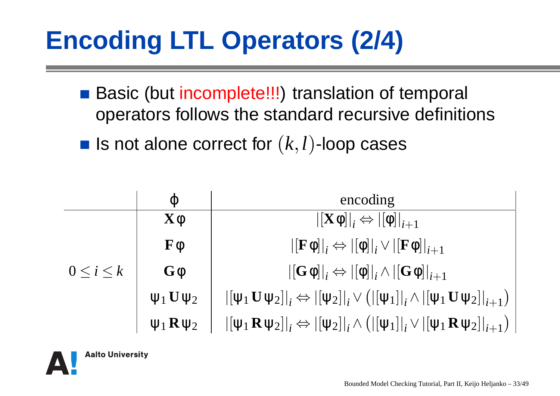## **Encoding LTL Operators (2/4)**

- Basic (but incomplete!!!) translation of temporal operators follows the standard recursive definitions
- Is not alone correct for  $(k,l)$ -loop cases

|                 | $\phi$                      | encoding                                                                                                                                                                                                                              |
|-----------------|-----------------------------|---------------------------------------------------------------------------------------------------------------------------------------------------------------------------------------------------------------------------------------|
|                 | $\mathbf{X}\phi$            | $\left \left[\mathbf{X}\phi\right]\right _i \Leftrightarrow \left \left[\phi\right]\right _{i+1}$                                                                                                                                     |
|                 | $\mathbf{F}\phi$            | $\left\vert \left[ \mathbf{F} \mathbf{\phi} \right] \right\vert_{i} \Leftrightarrow \left\vert \left[ \mathbf{\phi} \right] \right\vert_{i} \vee \left\vert \left[ \mathbf{F} \mathbf{\phi} \right] \right\vert_{i+1}$                |
| $0\leq i\leq k$ | $\mathbf{G}\phi$            | $\left\vert\left[\mathbf{G}\mathbf{\phi}\right]\right\vert_{i} \Leftrightarrow \left\vert\left[\mathbf{\phi}\right]\right\vert_{i} \wedge \left\vert\left[\mathbf{G}\mathbf{\phi}\right]\right\vert_{i+1}$                            |
|                 | $\Psi_1$ $\mathbf{U}\Psi_2$ | $\left \left[\psi_1 \mathbf{U} \psi_2\right]\right _i \Leftrightarrow \left \left[\psi_2\right]\right _i \vee \left(\left \left[\psi_1\right]\right _i \wedge \left \left[\psi_1 \mathbf{U} \psi_2\right]\right _{i+1}\right)\right $ |
|                 | $\Psi_1 \mathbf{R} \Psi_2$  | $\left \left[\psi_1 \mathbf{R} \psi_2\right]\right _i \Leftrightarrow \left \left[\psi_2\right]\right _i \wedge \left(\left \left[\psi_1\right]\right _i \vee \left \left[\psi_1 \mathbf{R} \psi_2\right]\right _{i+1}\right)\right $ |

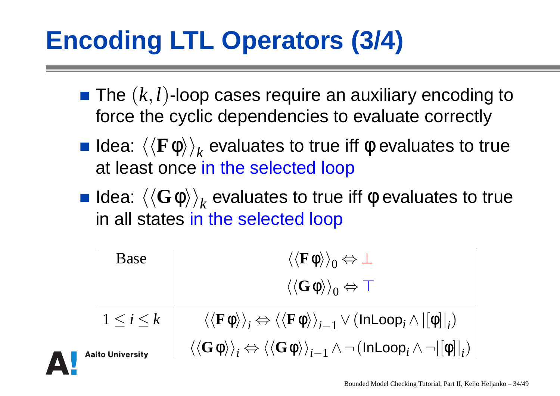### **Encoding LTL Operators (3/4)**

- The(*k*,*l*)-loop cases require an auxiliary encoding toforce the cyclic dependencies to evaluate correctly
- **Idea:**  $\left<\left< \mathbf{F}\phi \right>\right>_{k}$ at least once <mark>in the selected loop</mark>  $k$  evaluates to true iff φ evaluates to true
- **Idea:**  $\left<\left<\mathbf{G}\boldsymbol{\phi}\right>\right>_{k}$ in all states <mark>in the selected loop</mark>  $_{k}$  evaluates to true iff φ evaluates to true

| Base              | $\langle\langle \bf{F}\boldsymbol{\phi}\rangle\rangle_0 \Leftrightarrow \bot$                                                                                                         |
|-------------------|---------------------------------------------------------------------------------------------------------------------------------------------------------------------------------------|
|                   | $\langle\langle G\phi\rangle\rangle_0 \Leftrightarrow \top$                                                                                                                           |
| $1 \leq i \leq k$ | $\langle\langle \mathbf{F} \phi \rangle\rangle_i \Leftrightarrow \langle\langle \mathbf{F} \phi \rangle\rangle_{i-1} \vee (\mathsf{InLoop}_i \wedge  [\phi] _i)$                      |
| to University     | $\langle\langle \mathbf{G\phi} \rangle\rangle_i \Leftrightarrow \langle\langle \mathbf{G\phi} \rangle\rangle_{i-1} \wedge \neg \left(\mathsf{InLoop}_i \wedge \neg   \phi  _i\right)$ |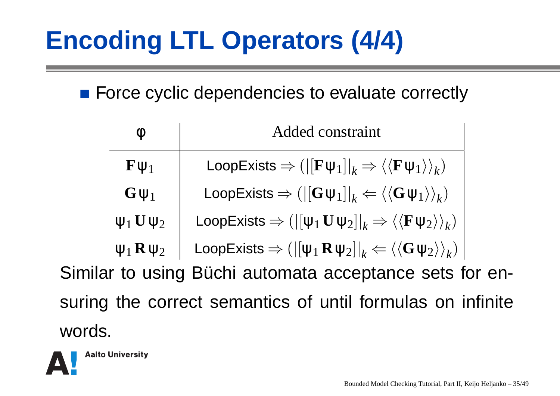### **Encoding LTL Operators (4/4)**

■ Force cyclic dependencies to evaluate correctly

| $\emptyset$                                                | <b>Added constraint</b>                                                                                                      |  |  |  |  |  |  |
|------------------------------------------------------------|------------------------------------------------------------------------------------------------------------------------------|--|--|--|--|--|--|
| $\mathbf{F}\mathbf{\Psi}_1$                                | LoopExists $\Rightarrow ( [{\bf F}\psi_1] _k \Rightarrow \langle {\langle {\bf F}\psi_1 \rangle \rangle_k} )$                |  |  |  |  |  |  |
| $G \psi_1$                                                 | LoopExists $\Rightarrow (  [G \psi_1] _k \Leftarrow \langle \langle G \psi_1 \rangle \rangle_k )$                            |  |  |  |  |  |  |
| $\Psi_1$ U $\Psi_2$                                        | LoopExists $\Rightarrow (  [\psi_1 \mathbf{U} \psi_2] _k \Rightarrow \langle \langle \mathbf{F} \psi_2 \rangle \rangle_k )$  |  |  |  |  |  |  |
| $\Psi_1 \mathbf{R} \Psi_2$                                 | LoopExists $\Rightarrow (  [\psi_1 \mathbf{R} \psi_2] _k \Leftarrow \langle \langle \mathbf{G} \psi_2 \rangle \rangle_k )  $ |  |  |  |  |  |  |
| Similar to using Büchi automata acceptance sets for en-    |                                                                                                                              |  |  |  |  |  |  |
| suring the correct semantics of until formulas on infinite |                                                                                                                              |  |  |  |  |  |  |
| words.                                                     |                                                                                                                              |  |  |  |  |  |  |

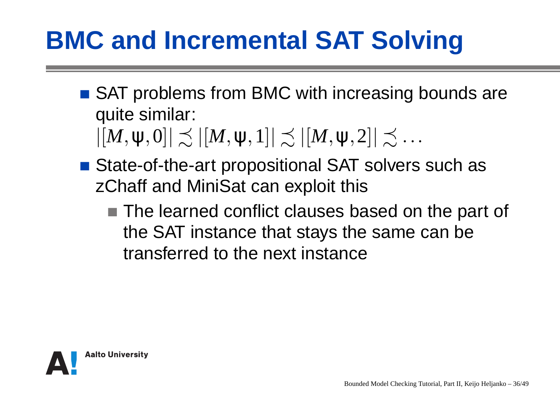### **BMC and Incremental SAT Solving**

■ SAT problems from BMC with increasing bounds are quite similar:

 $|[M,\psi,0]|\precsim |[M,\psi,1]|\precsim |[M,\psi,2]|\precsim \dots$ 

- State-of-the-art propositional SAT solvers such as zChaff and MiniSat can exploit this
	- The learned conflict clauses based on the part of the SAT instance that stays the same can betransferred to the next instance

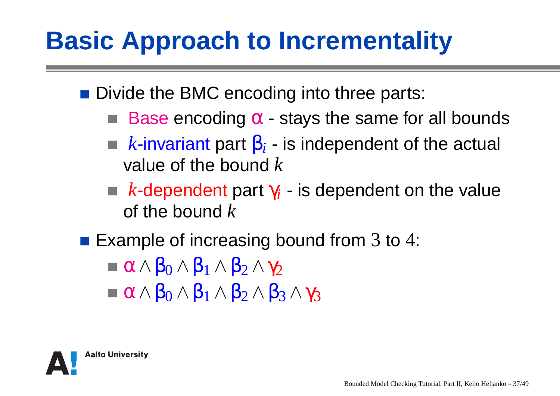### **Basic Approach to Incrementality**

■ Divide the BMC encoding into three parts:

- Base encoding  $\alpha$  stays the same for all bounds
- $k$ -invariant part  $\boldsymbol{\beta}_i$  is independent of the actual value of the bound  $k$
- $k$ -dependent part  $\gamma_i$  is dependent on the value of the bound  $k$
- Example of increasing bound from  $3$  to  $4$ :
	- $\alpha \wedge \beta_0 \wedge \beta_1 \wedge \beta_2 \wedge \gamma_2$
	- $\sim$   $\sim$   $\sim$   $\sim$   $\sim$  $\alpha \wedge \beta_0 \wedge \beta_1 \wedge \beta_2 \wedge \beta_3 \wedge \gamma_3$

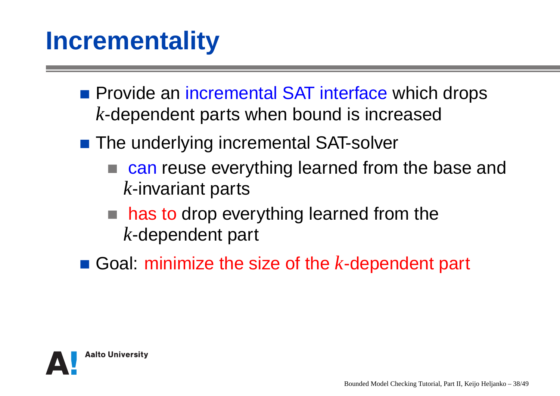#### **Incrementality**

- Provide an incremental SAT interface which drops *k*-dependent parts when bound is increased
- The underlying incremental SAT-solver
	- can reuse everything learned from the base and *k*-invariant parts
	- has to drop everything learned from the *k*-dependent part
- Goal: minimize the size of the*k*-dependent part

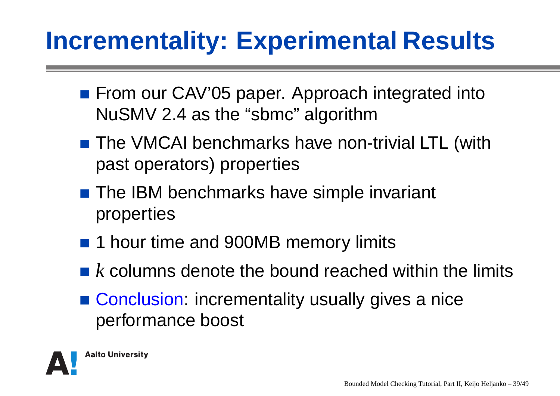#### **Incrementality: Experimental Results**

- From our CAV'05 paper. Approach integrated into NuSMV 2.4 as the "sbmc" algorithm
- The VMCAI benchmarks have non-trivial LTL (withpast operators) properties
- The IBM benchmarks have simple invariant properties
- 1 hour time and 900MB memory limits
- $\boldsymbol{k}$  columns denote the bound reached within the limits
- Conclusion: incrementality usually gives a nice performance boost

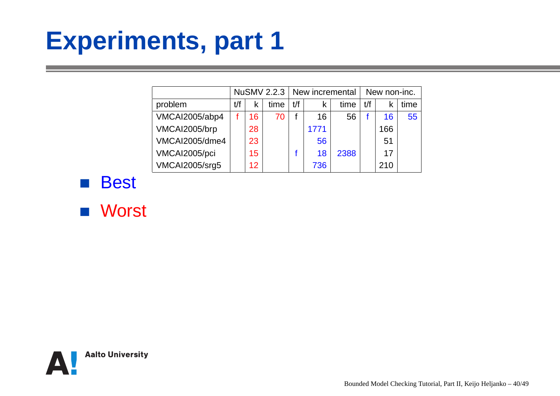#### **Experiments, part 1**

|                |     |    | NuSMV 2.2.3 |     | New incremental |      | New non-inc. |     |      |
|----------------|-----|----|-------------|-----|-----------------|------|--------------|-----|------|
| problem        | t/f | k  | time        | t/f | K               | time | t/f          |     | time |
| VMCAI2005/abp4 |     | 16 | 70          |     | 16              | 56   |              | 16  | 55   |
| VMCAI2005/brp  |     | 28 |             |     | 1771            |      |              | 166 |      |
| VMCAI2005/dme4 |     | 23 |             |     | 56              |      |              | 51  |      |
| VMCAI2005/pci  |     | 15 |             |     | 18              | 2388 |              | 17  |      |
| VMCAI2005/srg5 |     | 12 |             |     | 736             |      |              | 210 |      |

**Best** 



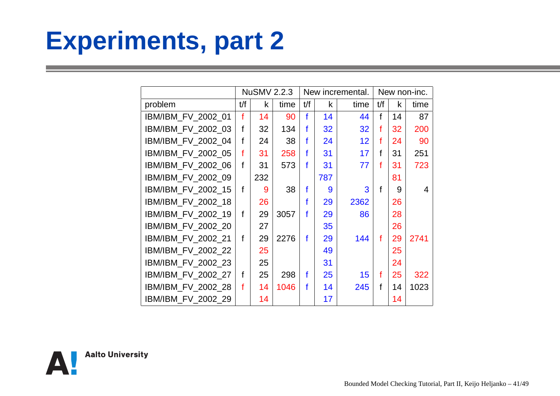#### **Experiments, part 2**

|                    | <b>NuSMV 2.2.3</b> |     |      |     |     | New incremental. | New non-inc. |    |      |
|--------------------|--------------------|-----|------|-----|-----|------------------|--------------|----|------|
| problem            | t/f                | k   | time | t/f | k   | time             | t/f          | k  | time |
| IBM/IBM_FV_2002_01 | f                  | 14  | 90   | f   | 14  | 44               | f            | 14 | 87   |
| IBM/IBM_FV_2002_03 | f                  | 32  | 134  | f   | 32  | 32               | f            | 32 | 200  |
| IBM/IBM_FV_2002_04 | f                  | 24  | 38   | f   | 24  | 12               | f            | 24 | 90   |
| IBM/IBM_FV_2002_05 | f                  | 31  | 258  | f   | 31  | 17               | f            | 31 | 251  |
| IBM/IBM_FV_2002_06 | f                  | 31  | 573  | f   | 31  | 77               | f            | 31 | 723  |
| IBM/IBM_FV_2002_09 |                    | 232 |      |     | 787 |                  |              | 81 |      |
| IBM/IBM_FV_2002_15 | f                  | 9   | 38   | f   | 9   | 3                | f            | 9  | 4    |
| IBM/IBM_FV_2002_18 |                    | 26  |      | f   | 29  | 2362             |              | 26 |      |
| IBM/IBM_FV_2002_19 | f                  | 29  | 3057 | f   | 29  | 86               |              | 28 |      |
| IBM/IBM_FV_2002_20 |                    | 27  |      |     | 35  |                  |              | 26 |      |
| IBM/IBM_FV_2002_21 | f                  | 29  | 2276 | f   | 29  | 144              | f            | 29 | 2741 |
| IBM/IBM_FV_2002_22 |                    | 25  |      |     | 49  |                  |              | 25 |      |
| IBM/IBM_FV_2002_23 |                    | 25  |      |     | 31  |                  |              | 24 |      |
| IBM/IBM_FV_2002_27 | f                  | 25  | 298  | f   | 25  | 15               | f            | 25 | 322  |
| IBM/IBM_FV_2002_28 | f                  | 14  | 1046 | f   | 14  | 245              | f            | 14 | 1023 |
| IBM/IBM_FV_2002_29 |                    | 14  |      |     | 17  |                  |              | 14 |      |

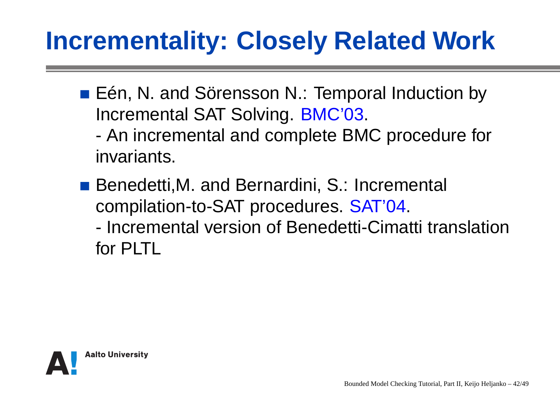#### **Incrementality: Closely Related Work**

■ Eén, N. and Sörensson N.: Temporal Induction by Incremental SAT Solving. BMC'03.- An incremental and complete BMC procedure forinvariants.

■ Benedetti, M. and Bernardini, S.: Incremental compilation-to-SAT procedures. SAT'04.

- Incremental version of Benedetti-Cimatti translationfor PLTL

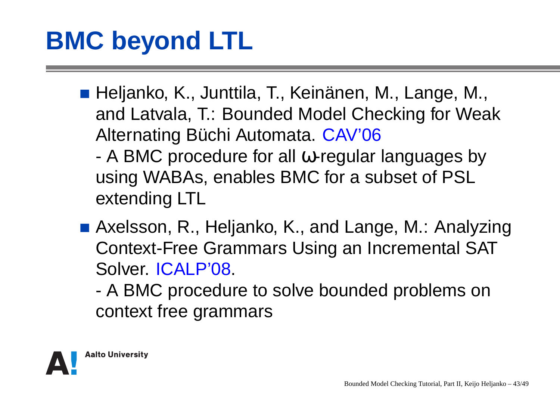- Heljanko, K., Junttila, T., Keinänen, M., Lange, M., and Latvala, T.: Bounded Model Checking for WeakAlternating Büchi Automata. CAV'06
	- - A BMC procedure for all <sup>ω</sup>-regular languages byusing WABAs, enables BMC for <sup>a</sup> subset of PSLextending LTL
- Axelsson, R., Heljanko, K., and Lange, M.: Analyzing Context-Free Grammars Using an Incremental SATSolver. ICALP'08.
	- - A BMC procedure to solve bounded problems oncontext free grammars

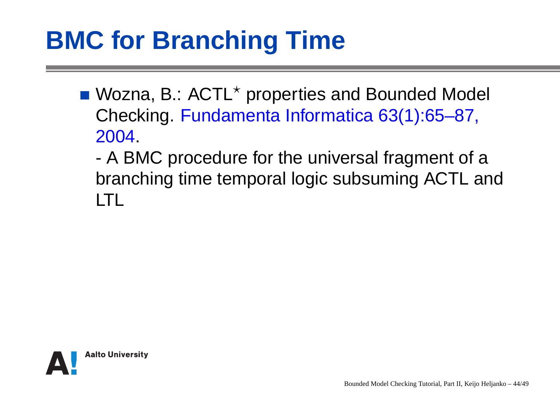### **BMC for Branching Time**

- Wozna, B.: ACTL $^\star$  properties and Bounded Model Checking. Fundamenta Informatica 63(1):65–87, 2004.
	- - A BMC procedure for the universal fragment of <sup>a</sup> branching time temporal logic subsuming ACTL andLTL

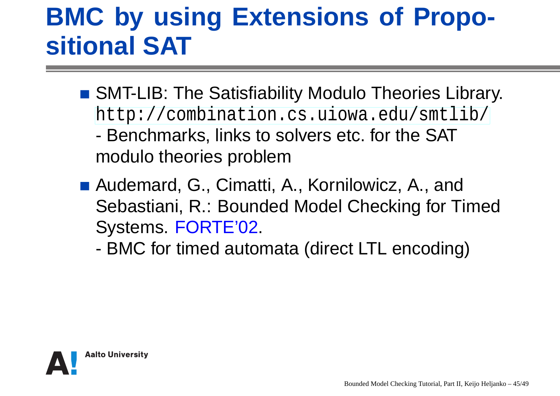#### **BMC by using Extensions of Propositional SAT**

- SMT-LIB: The Satisfiability Modulo Theories Library. [http://combination](http://combination.cs.uiowa.edu/smtlib/).[cs](http://combination.cs.uiowa.edu/smtlib/).[uiowa](http://combination.cs.uiowa.edu/smtlib/).[edu/smtli](http://combination.cs.uiowa.edu/smtlib/)b/
	- - Benchmarks, links to solvers etc. for the SATmodulo theories problem
- Audemard, G., Cimatti, A., Kornilowicz, A., and Sebastiani, R.: Bounded Model Checking for TimedSystems. FORTE'02.
	- -BMC for timed automata (direct LTL encoding)

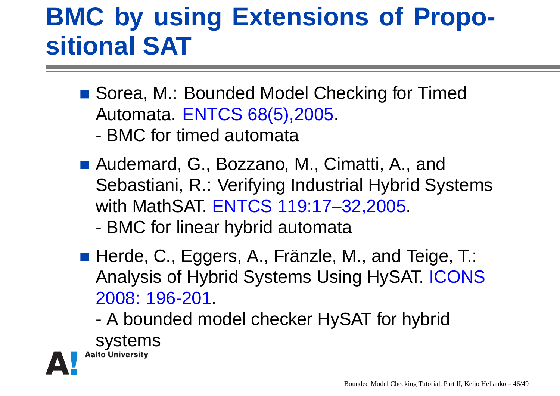#### **BMC by using Extensions of Propositional SAT**

- Sorea, M.: Bounded Model Checking for Timed Automata. ENTCS 68(5),2005.
	- -BMC for timed automata
- Audemard, G., Bozzano, M., Cimatti, A., and Sebastiani, R.: Verifying Industrial Hybrid Systemswith MathSAT. ENTCS 119:17–32,2005.
	- -BMC for linear hybrid automata
- Herde, C., Eggers, A., Fränzle, M., and Teige, T.: Analysis of Hybrid Systems Using HySAT. ICONS2008: 196-201.
	- - A bounded model checker HySAT for hybrid**Systems**<br>Aalto University

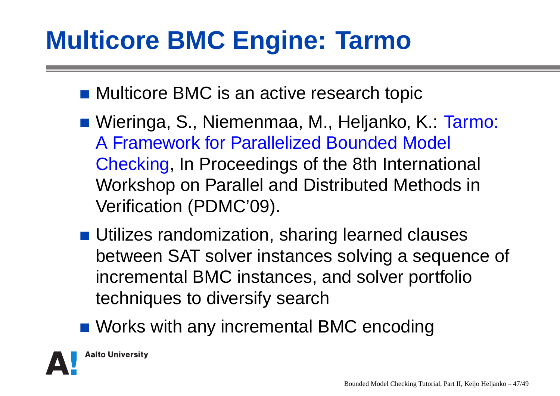### **Multicore BMC Engine: Tarmo**

- Multicore BMC is an active research topic
- Wieringa, S., Niemenmaa, M., Heljanko, K.: Tarmo: A Framework for Parallelized Bounded Model Checking, In Proceedings of the 8th International Workshop on Parallel and Distributed Methods inVerification (PDMC'09).
- **Utilizes randomization, sharing learned clauses**  between SAT solver instances solving <sup>a</sup> sequence of incremental BMC instances, and solver portfoliotechniques to diversify search
- **Norks with any incremental BMC encoding**

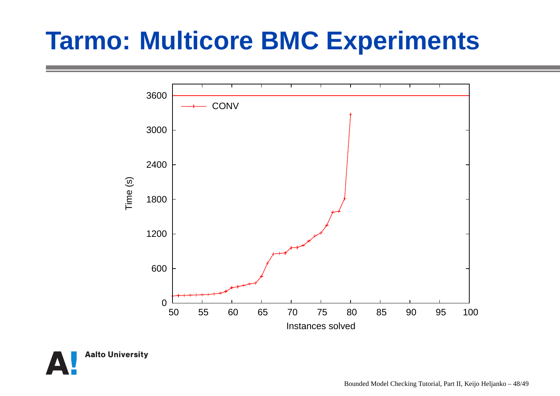

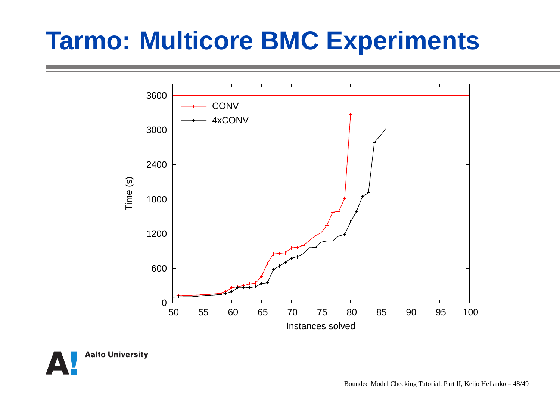

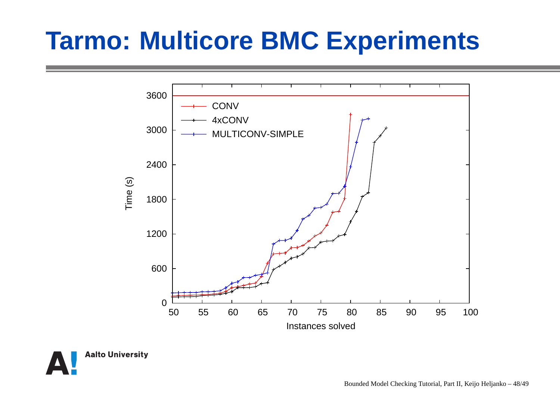

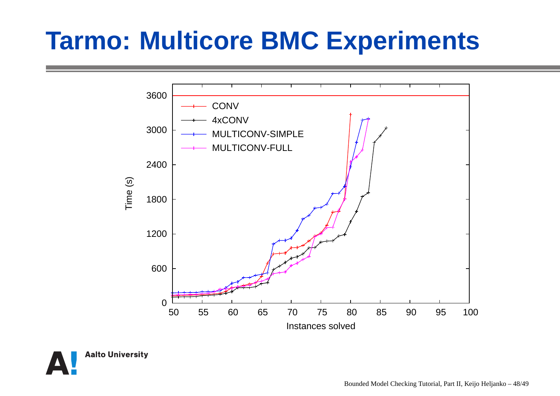

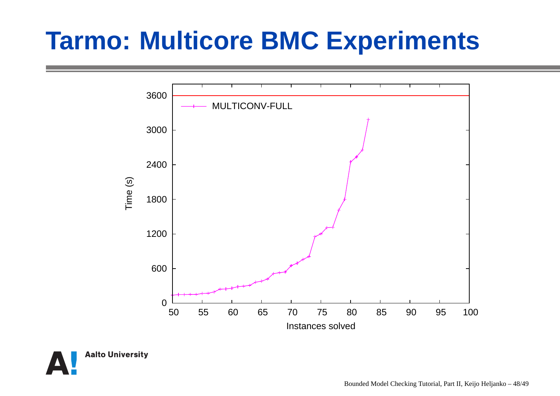

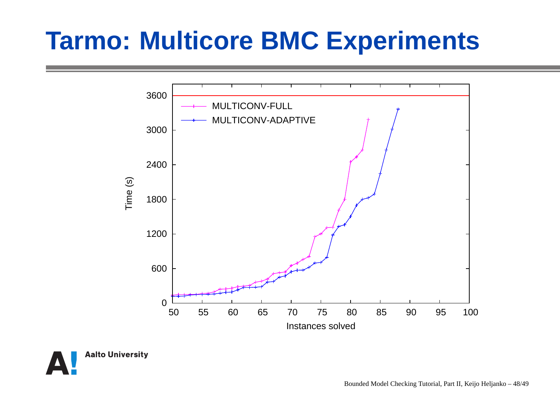

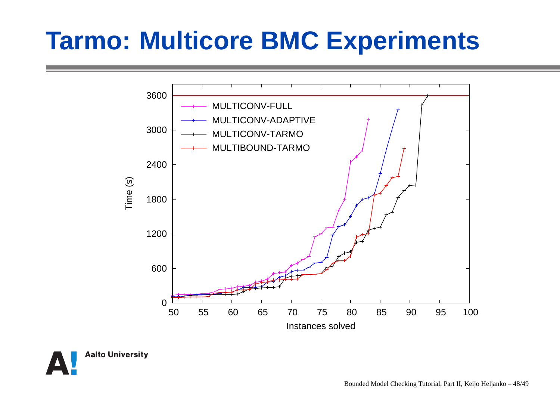